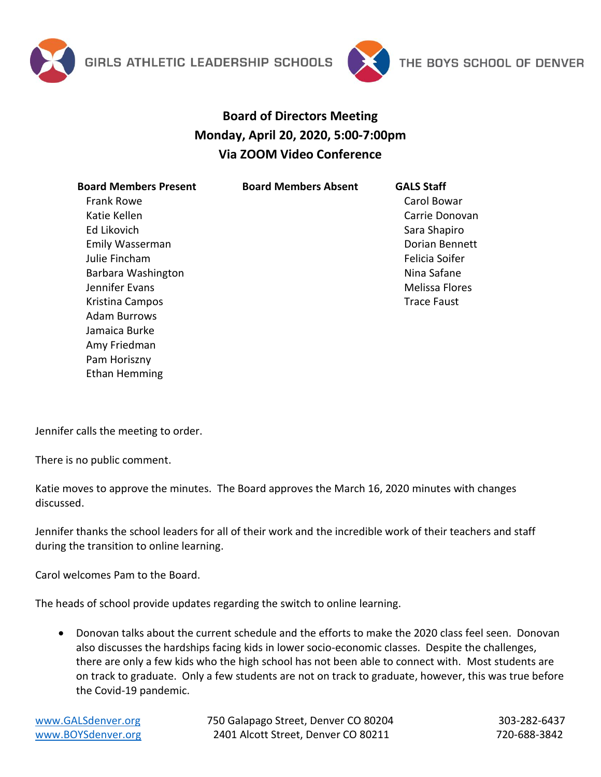



## **Board of Directors Meeting Monday, April 20, 2020, 5:00-7:00pm Via ZOOM Video Conference**

**Board Members Present** Frank Rowe Katie Kellen Ed Likovich Emily Wasserman Julie Fincham Barbara Washington Jennifer Evans Kristina Campos Adam Burrows Jamaica Burke Amy Friedman Pam Horiszny Ethan Hemming

**Board Members Absent GALS Staff**

Carol Bowar Carrie Donovan Sara Shapiro Dorian Bennett Felicia Soifer Nina Safane Melissa Flores Trace Faust

Jennifer calls the meeting to order.

There is no public comment.

Katie moves to approve the minutes. The Board approves the March 16, 2020 minutes with changes discussed.

Jennifer thanks the school leaders for all of their work and the incredible work of their teachers and staff during the transition to online learning.

Carol welcomes Pam to the Board.

The heads of school provide updates regarding the switch to online learning.

 Donovan talks about the current schedule and the efforts to make the 2020 class feel seen. Donovan also discusses the hardships facing kids in lower socio-economic classes. Despite the challenges, there are only a few kids who the high school has not been able to connect with. Most students are on track to graduate. Only a few students are not on track to graduate, however, this was true before the Covid-19 pandemic.

[www.GALSdenver.org](http://www.galsdenver.org/) **750 Galapago Street, Denver CO 80204** 303-282-6437 [www.BOYSdenver.org](http://www.boysdenver.org/) 2401 Alcott Street, Denver CO 80211 720-688-3842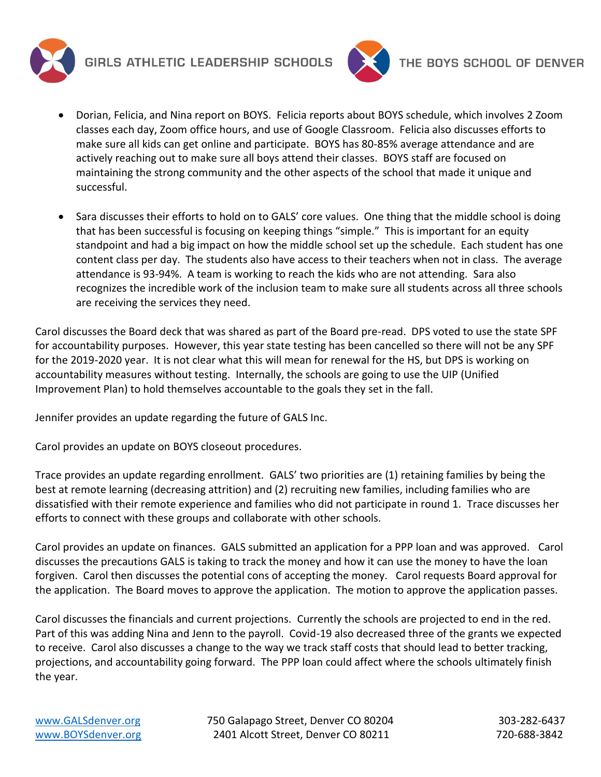

GIRLS ATHLETIC LEADERSHIP SCHOOLS



- Dorian, Felicia, and Nina report on BOYS. Felicia reports about BOYS schedule, which involves 2 Zoom classes each day, Zoom office hours, and use of Google Classroom. Felicia also discusses efforts to make sure all kids can get online and participate. BOYS has 80-85% average attendance and are actively reaching out to make sure all boys attend their classes. BOYS staff are focused on maintaining the strong community and the other aspects of the school that made it unique and successful.
- Sara discusses their efforts to hold on to GALS' core values. One thing that the middle school is doing that has been successful is focusing on keeping things "simple." This is important for an equity standpoint and had a big impact on how the middle school set up the schedule. Each student has one content class per day. The students also have access to their teachers when not in class. The average attendance is 93-94%. A team is working to reach the kids who are not attending. Sara also recognizes the incredible work of the inclusion team to make sure all students across all three schools are receiving the services they need.

Carol discusses the Board deck that was shared as part of the Board pre-read. DPS voted to use the state SPF for accountability purposes. However, this year state testing has been cancelled so there will not be any SPF for the 2019-2020 year. It is not clear what this will mean for renewal for the HS, but DPS is working on accountability measures without testing. Internally, the schools are going to use the UIP (Unified Improvement Plan) to hold themselves accountable to the goals they set in the fall.

Jennifer provides an update regarding the future of GALS Inc.

Carol provides an update on BOYS closeout procedures.

Trace provides an update regarding enrollment. GALS' two priorities are (1) retaining families by being the best at remote learning (decreasing attrition) and (2) recruiting new families, including families who are dissatisfied with their remote experience and families who did not participate in round 1. Trace discusses her efforts to connect with these groups and collaborate with other schools.

Carol provides an update on finances. GALS submitted an application for a PPP loan and was approved. Carol discusses the precautions GALS is taking to track the money and how it can use the money to have the loan forgiven. Carol then discusses the potential cons of accepting the money. Carol requests Board approval for the application. The Board moves to approve the application. The motion to approve the application passes.

Carol discusses the financials and current projections. Currently the schools are projected to end in the red. Part of this was adding Nina and Jenn to the payroll. Covid-19 also decreased three of the grants we expected to receive. Carol also discusses a change to the way we track staff costs that should lead to better tracking, projections, and accountability going forward. The PPP loan could affect where the schools ultimately finish the year.

[www.GALSdenver.org](http://www.galsdenver.org/) **750 Galapago Street, Denver CO 80204** 303-282-6437 [www.BOYSdenver.org](http://www.boysdenver.org/) 2401 Alcott Street, Denver CO 80211 720-688-3842